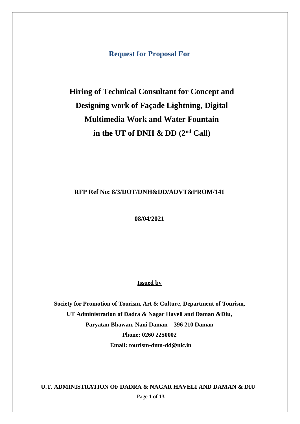**Request for Proposal For**

## **Hiring of Technical Consultant for Concept and Designing work of Façade Lightning, Digital Multimedia Work and Water Fountain in the UT of DNH & DD (2nd Call)**

#### **RFP Ref No: 8/3/DOT/DNH&DD/ADVT&PROM/141**

**08/04/2021**

#### **Issued by**

**Society for Promotion of Tourism, Art & Culture, Department of Tourism, UT Administration of Dadra & Nagar Haveli and Daman &Diu, Paryatan Bhawan, Nani Daman – 396 210 Daman Phone: 0260 2250002 Email: [tourism-dmn-dd@nic.in](mailto:tourism-dmn-dd@nic.in)**

Page **1** of **13 U.T. ADMINISTRATION OF DADRA & NAGAR HAVELI AND DAMAN & DIU**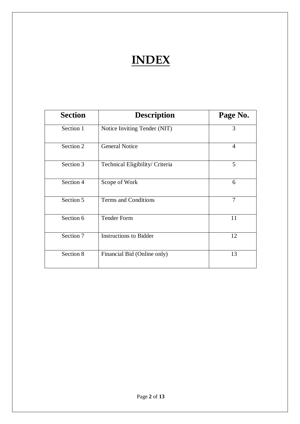# **INDEX**

| <b>Section</b> | <b>Description</b>              | Page No.       |
|----------------|---------------------------------|----------------|
| Section 1      | Notice Inviting Tender (NIT)    | 3              |
| Section 2      | <b>General Notice</b>           | $\overline{4}$ |
| Section 3      | Technical Eligibility/ Criteria | 5              |
| Section 4      | Scope of Work                   | 6              |
| Section 5      | <b>Terms and Conditions</b>     | $\overline{7}$ |
| Section 6      | <b>Tender Form</b>              | 11             |
| Section 7      | <b>Instructions to Bidder</b>   | 12             |
| Section 8      | Financial Bid (Online only)     | 13             |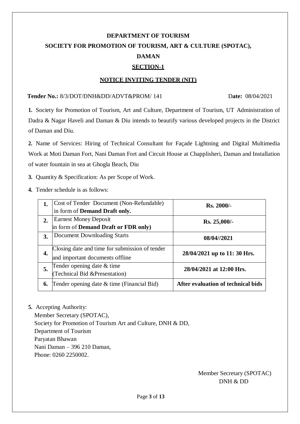### **DEPARTMENT OF TOURISM SOCIETY FOR PROMOTION OF TOURISM, ART & CULTURE (SPOTAC), DAMAN SECTION-1**

#### **NOTICE INVITING TENDER (NIT)**

#### **Tender No.:** 8/3/DOT/DNH&DD/ADVT&PROM/ 141 D**ate:** 08/04/2021

**1.** Society for Promotion of Tourism, Art and Culture, Department of Tourism, UT Administration of Dadra & Nagar Haveli and Daman & Diu intends to beautify various developed projects in the District of Daman and Diu.

**2.** Name of Services: Hiring of Technical Consultant for Façade Lightning and Digital Multimedia Work at Moti Daman Fort, Nani Daman Fort and Circuit House at Chapplisheri, Daman and Installation of water fountain in sea at Ghogla Beach, Diu

- **3.** Quantity & Specification: As per Scope of Work.
- **4.** Tender schedule is as follows:

|    | Cost of Tender Document (Non-Refundable)       | Rs. 2000/-                         |  |  |
|----|------------------------------------------------|------------------------------------|--|--|
|    | in form of Demand Draft only.                  |                                    |  |  |
| 2. | <b>Earnest Money Deposit</b>                   | $Rs. 25,000/$ -                    |  |  |
|    | in form of <b>Demand Draft or FDR only</b> )   |                                    |  |  |
| 3. | Document Downloading Starts                    | 08/04//2021                        |  |  |
| 4. | Closing date and time for submission of tender |                                    |  |  |
|    | and important documents offline                | 28/04/2021 up to 11: 30 Hrs.       |  |  |
| 5. | Tender opening date & time                     | 28/04/2021 at 12:00 Hrs.           |  |  |
|    | (Technical Bid &Presentation)                  |                                    |  |  |
| 6. | Tender opening date & time (Financial Bid)     | After evaluation of technical bids |  |  |

**5.** Accepting Authority:

Member Secretary (SPOTAC), Society for Promotion of Tourism Art and Culture, DNH & DD, Department of Tourism Paryatan Bhawan Nani Daman – 396 210 Daman, Phone: 0260 2250002.

> Member Secretary (SPOTAC) DNH & DD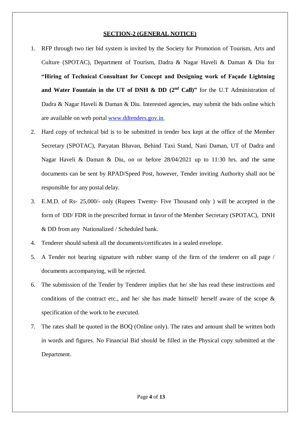#### **SECTION-2 (GENERAL NOTICE)**

- 1. RFP through two tier bid system is invited by the Society for Promotion of Tourism, Arts and Culture (SPOTAC), Department of Tourism, Dadra & Nagar Haveli & Daman & Diu for **"Hiring of Technical Consultant for Concept and Designing work of Façade Lightning and Water Fountain in the UT of DNH & DD (2nd Call)"** for the U.T Administration of Dadra & Nagar Haveli & Daman & Diu. Interested agencies, may submit the bids online which are available on web portal [www.ddtenders.gov.in.](http://www.ddtenders.gov.in/)
- 2. Hard copy of technical bid is to be submitted in tender box kept at the office of the Member Secretary (SPOTAC), Paryatan Bhavan, Behind Taxi Stand, Nani Daman, UT of Dadra and Nagar Haveli & Daman & Diu, on or before 28/04/2021 up to 11:30 hrs. and the same documents can be sent by RPAD/Speed Post, however, Tender inviting Authority shall not be responsible for any postal delay.
- 3. E.M.D. of Rs- 25,000/- only (Rupees Twenty- Five Thousand only ) will be accepted in the form of DD/ FDR in the prescribed format in favor of the Member Secretary (SPOTAC), DNH & DD from any Nationalized / Scheduled bank.
- 4. Tenderer should submit all the documents/certificates in a sealed envelope.
- 5. A Tender not bearing signature with rubber stamp of the firm of the tenderer on all page / documents accompanying, will be rejected.
- 6. The submission of the Tender by Tenderer implies that he/ she has read these instructions and conditions of the contract etc., and he/ she has made himself/ herself aware of the scope & specification of the work to be executed.
- 7. The rates shall be quoted in the BOQ (Online only). The rates and amount shall be written both in words and figures. No Financial Bid should be filled in the Physical copy submitted at the Department.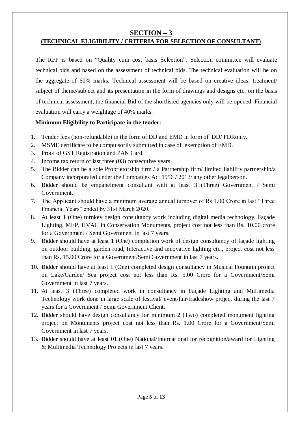#### **SECTION – 3**

#### **(TECHNICAL ELIGIBILITY / CRITERIA FOR SELECTION OF CONSULTANT)**

The RFP is based on "Quality cum cost basis Selection". Selection committee will evaluate technical bids and based on the assessment of technical bids. The technical evaluation will be on the aggregate of 60% marks. Technical assessment will be based on creative ideas, treatment/ subject of theme/subject and its presentation in the form of drawings and designs etc. on the basis of technical assessment, the financial Bid of the shortlisted agencies only will be opened. Financial evaluation will carry a weightage of 40% marks.

#### **Minimum Eligibility to Participate in the tender:**

- 1. Tender fees (non-refundable) in the form of DD and EMD in form of DD/ FDRonly.
- 2. MSME certificate to be compulsorily submitted in case of exemption of EMD.
- 3. Proof of GST Registration and PAN Card.
- 4. Income tax return of last three (03) consecutive years.
- 5. The Bidder can be a sole Proprietorship firm / a Partnership firm limited liability partnership/a Company incorporated under the Companies Act 1956 / 2013/ any other legalperson.
- 6. Bidder should be empanelment consultant with at least 3 (Three) Government / Semi Government.
- 7. The Applicant should have a minimum average annual turnover of Rs 1.00 Crore in last "Three Financial Years" ended by 31st March 2020.
- 8. At least 1 (One) turnkey design consultancy work including digital media technology, Façade Lighting, MEP, HVAC in Conservation Monuments, project cost not less than Rs. 10.00 crore for a Government / Semi Government in last 7 years.
- 9. Bidder should have at least 1 (One) completion work of design consultancy of façade lighting on outdoor building, garden road, Interactive and innovative lighting etc., project cost not less than Rs. 15.00 Crore for a Government/Semi Government in last 7 years.
- 10. Bidder should have at least 1 (One) completed design consultancy in Musical Fountain project on Lake/Garden/ Sea project cost not less than Rs. 5.00 Crore for a Government/Semi Government in last 7 years.
- 11. At least 3 (Three) completed work in consultancy in Façade Lighting and Multimedia Technology work done in large scale of festival/ event/fair/tradeshow project during the last 7 years for a Government / Semi Government Client.
- 12. Bidder should have design consultancy for minimum 2 (Two) completed monument lighting project on Monuments project cost not less than Rs. 1.00 Crore for a Government/Semi Government in last 7 years.
- 13. Bidder should have at least 01 (One) National/International for recognition/award for Lighting & Multimedia Technology Projects in last 7 years.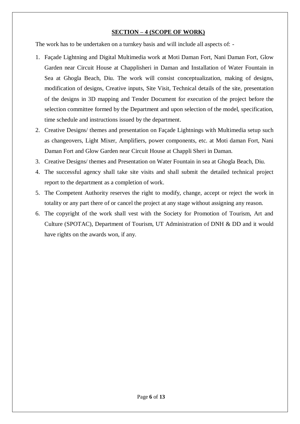#### **SECTION – 4 (SCOPE OF WORK)**

The work has to be undertaken on a turnkey basis and will include all aspects of: -

- 1. Façade Lightning and Digital Multimedia work at Moti Daman Fort, Nani Daman Fort, Glow Garden near Circuit House at Chapplisheri in Daman and Installation of Water Fountain in Sea at Ghogla Beach, Diu. The work will consist conceptualization, making of designs, modification of designs, Creative inputs, Site Visit, Technical details of the site, presentation of the designs in 3D mapping and Tender Document for execution of the project before the selection committee formed by the Department and upon selection of the model, specification, time schedule and instructions issued by the department.
- 2. Creative Designs/ themes and presentation on Façade Lightnings with Multimedia setup such as changeovers, Light Mixer, Amplifiers, power components, etc. at Moti daman Fort, Nani Daman Fort and Glow Garden near Circuit House at Chappli Sheri in Daman.
- 3. Creative Designs/ themes and Presentation on Water Fountain in sea at Ghogla Beach, Diu.
- 4. The successful agency shall take site visits and shall submit the detailed technical project report to the department as a completion of work.
- 5. The Competent Authority reserves the right to modify, change, accept or reject the work in totality or any part there of or cancel the project at any stage without assigning any reason.
- 6. The copyright of the work shall vest with the Society for Promotion of Tourism, Art and Culture (SPOTAC), Department of Tourism, UT Administration of DNH & DD and it would have rights on the awards won, if any.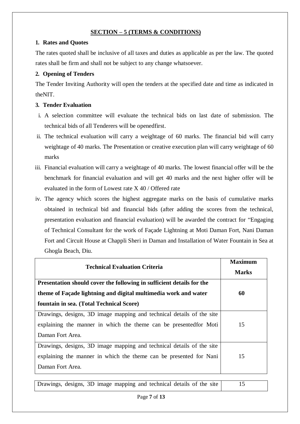#### **SECTION – 5 (TERMS & CONDITIONS)**

#### **1. Rates and Quotes**

The rates quoted shall be inclusive of all taxes and duties as applicable as per the law. The quoted rates shall be firm and shall not be subject to any change whatsoever.

#### **2. Opening of Tenders**

The Tender Inviting Authority will open the tenders at the specified date and time as indicated in theNIT.

#### **3. Tender Evaluation**

- i. A selection committee will evaluate the technical bids on last date of submission. The technical bids of all Tenderers will be openedfirst.
- ii. The technical evaluation will carry a weightage of 60 marks. The financial bid will carry weightage of 40 marks. The Presentation or creative execution plan will carry weightage of 60 marks
- iii. Financial evaluation will carry a weightage of 40 marks. The lowest financial offer will be the benchmark for financial evaluation and will get 40 marks and the next higher offer will be evaluated in the form of Lowest rate X 40 / Offered rate
- iv. The agency which scores the highest aggregate marks on the basis of cumulative marks obtained in technical bid and financial bids (after adding the scores from the technical, presentation evaluation and financial evaluation) will be awarded the contract for "Engaging of Technical Consultant for the work of Façade Lightning at Moti Daman Fort, Nani Daman Fort and Circuit House at Chappli Sheri in Daman and Installation of Water Fountain in Sea at Ghogla Beach, Diu.

| <b>Technical Evaluation Criteria</b>                                  | <b>Maximum</b><br><b>Marks</b> |
|-----------------------------------------------------------------------|--------------------------------|
| Presentation should cover the following in sufficient details for the |                                |
| theme of Façade lightning and digital multimedia work and water       | 60                             |
| fountain in sea. (Total Technical Score)                              |                                |
| Drawings, designs, 3D image mapping and technical details of the site |                                |
| explaining the manner in which the theme can be presented for Moti    | 15                             |
| Daman Fort Area.                                                      |                                |
| Drawings, designs, 3D image mapping and technical details of the site |                                |
| explaining the manner in which the theme can be presented for Nani    | 15                             |
| Daman Fort Area.                                                      |                                |

| Drawings, designs, 3D image mapping and technical details of the site |  |  |  |  |  |  |  |  |  |  |
|-----------------------------------------------------------------------|--|--|--|--|--|--|--|--|--|--|
|-----------------------------------------------------------------------|--|--|--|--|--|--|--|--|--|--|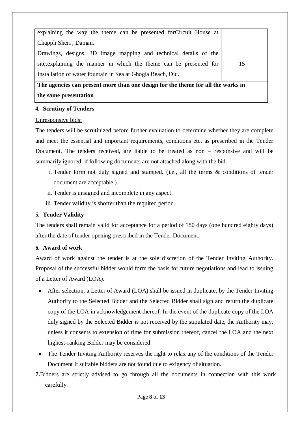| explaining the way the theme can be presented for Circuit House at               |    |  |  |  |
|----------------------------------------------------------------------------------|----|--|--|--|
| Chappli Sheri, Daman.                                                            |    |  |  |  |
| Drawings, designs, 3D image mapping and technical details of the                 |    |  |  |  |
| site, explaining the manner in which the theme can be presented for              | 15 |  |  |  |
| Installation of water fountain in Sea at Ghogla Beach, Diu.                      |    |  |  |  |
| The agencies can present more than one design for the theme for all the works in |    |  |  |  |
| the same presentation.                                                           |    |  |  |  |

#### **4. Scrutiny of Tenders**

#### Unresponsive bids:

The tenders will be scrutinized before further evaluation to determine whether they are complete and meet the essential and important requirements, conditions etc. as prescribed in the Tender Document. The tenders received, are liable to be treated as non – responsive and will be summarily ignored, if following documents are not attached along with the bid.

- i. Tender form not duly signed and stamped. (i.e., all the terms & conditions of tender document are acceptable.)
- ii. Tender is unsigned and incomplete in any aspect.
- iii. Tender validity is shorter than the required period.

#### **5. Tender Validity**

The tenders shall remain valid for acceptance for a period of 180 days (one hundred eighty days) after the date of tender opening prescribed in the Tender Document.

#### **6. Award of work**

Award of work against the tender is at the sole discretion of the Tender Inviting Authority. Proposal of the successful bidder would form the basis for future negotiations and lead to issuing of a Letter of Award (LOA).

- After selection, a Letter of Award (LOA) shall be issued in duplicate, by the Tender Inviting Authority to the Selected Bidder and the Selected Bidder shall sign and return the duplicate copy of the LOA in acknowledgement thereof. In the event of the duplicate copy of the LOA duly signed by the Selected Bidder is not received by the stipulated date, the Authority may, unless it consents to extension of time for submission thereof, cancel the LOA and the next highest-ranking Bidder may be considered.
- The Tender Inviting Authority reserves the right to relax any of the conditions of the Tender Document if suitable bidders are not found due to exigency of situation.
- **7.**Bidders are strictly advised to go through all the documents in connection with this work carefully.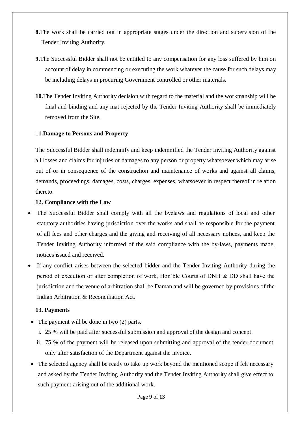- **8.**The work shall be carried out in appropriate stages under the direction and supervision of the Tender Inviting Authority.
- **9.**The Successful Bidder shall not be entitled to any compensation for any loss suffered by him on account of delay in commencing or executing the work whatever the cause for such delays may be including delays in procuring Government controlled or other materials.
- **10.**The Tender Inviting Authority decision with regard to the material and the workmanship will be final and binding and any mat rejected by the Tender Inviting Authority shall be immediately removed from the Site.

#### 1**1.Damage to Persons and Property**

The Successful Bidder shall indemnify and keep indemnified the Tender Inviting Authority against all losses and claims for injuries or damages to any person or property whatsoever which may arise out of or in consequence of the construction and maintenance of works and against all claims, demands, proceedings, damages, costs, charges, expenses, whatsoever in respect thereof in relation thereto.

#### **12. Compliance with the Law**

- The Successful Bidder shall comply with all the byelaws and regulations of local and other statutory authorities having jurisdiction over the works and shall be responsible for the payment of all fees and other charges and the giving and receiving of all necessary notices, and keep the Tender Inviting Authority informed of the said compliance with the by-laws, payments made, notices issued and received.
- If any conflict arises between the selected bidder and the Tender Inviting Authority during the period of execution or after completion of work, Hon'ble Courts of DNH & DD shall have the jurisdiction and the venue of arbitration shall be Daman and will be governed by provisions of the Indian Arbitration & Reconciliation Act.

#### **13. Payments**

- The payment will be done in two (2) parts.
	- i. 25 % will be paid after successful submission and approval of the design and concept.
	- ii. 75 % of the payment will be released upon submitting and approval of the tender document only after satisfaction of the Department against the invoice.
- The selected agency shall be ready to take up work beyond the mentioned scope if felt necessary and asked by the Tender Inviting Authority and the Tender Inviting Authority shall give effect to such payment arising out of the additional work.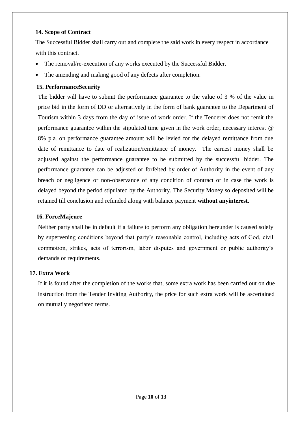#### **14. Scope of Contract**

The Successful Bidder shall carry out and complete the said work in every respect in accordance with this contract.

- The removal/re-execution of any works executed by the Successful Bidder.
- The amending and making good of any defects after completion.

#### **15. PerformanceSecurity**

The bidder will have to submit the performance guarantee to the value of 3 % of the value in price bid in the form of DD or alternatively in the form of bank guarantee to the Department of Tourism within 3 days from the day of issue of work order. If the Tenderer does not remit the performance guarantee within the stipulated time given in the work order, necessary interest @ 8% p.a. on performance guarantee amount will be levied for the delayed remittance from due date of remittance to date of realization/remittance of money. The earnest money shall be adjusted against the performance guarantee to be submitted by the successful bidder. The performance guarantee can be adjusted or forfeited by order of Authority in the event of any breach or negligence or non-observance of any condition of contract or in case the work is delayed beyond the period stipulated by the Authority. The Security Money so deposited will be retained till conclusion and refunded along with balance payment **without anyinterest**.

#### **16. ForceMajeure**

Neither party shall be in default if a failure to perform any obligation hereunder is caused solely by supervening conditions beyond that party's reasonable control, including acts of God, civil commotion, strikes, acts of terrorism, labor disputes and government or public authority's demands or requirements.

#### **17. Extra Work**

If it is found after the completion of the works that, some extra work has been carried out on due instruction from the Tender Inviting Authority, the price for such extra work will be ascertained on mutually negotiated terms.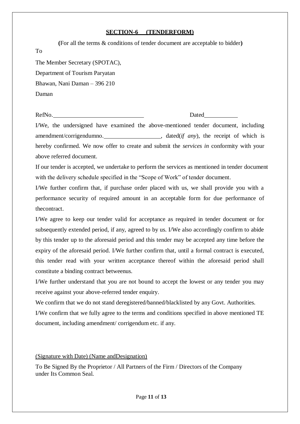#### **SECTION-6 (TENDERFORM)**

| (For all the terms & conditions of tender document are acceptable to bidder) |
|------------------------------------------------------------------------------|
| To                                                                           |
| The Member Secretary (SPOTAC),                                               |
| Department of Tourism Paryatan                                               |
| Bhawan, Nani Daman - 396 210                                                 |
| Daman                                                                        |
|                                                                              |

RefNo. Dated

I/We, the undersigned have examined the above-mentioned tender document, including amendment/corrigendumno. , dated(*if any*), the receipt of which is hereby confirmed. We now offer to create and submit the *services in* conformity with your above referred document.

If our tender is accepted, we undertake to perform the services as mentioned in tender document with the delivery schedule specified in the "Scope of Work" of tender document.

I/We further confirm that, if purchase order placed with us, we shall provide you with a performance security of required amount in an acceptable form for due performance of thecontract.

I/We agree to keep our tender valid for acceptance as required in tender document or for subsequently extended period, if any, agreed to by us. I/We also accordingly confirm to abide by this tender up to the aforesaid period and this tender may be accepted any time before the expiry of the aforesaid period. I/We further confirm that, until a formal contract is executed, this tender read with your written acceptance thereof within the aforesaid period shall constitute a binding contract betweenus.

I/We further understand that you are not bound to accept the lowest or any tender you may receive against your above-referred tender enquiry.

We confirm that we do not stand deregistered/banned/blacklisted by any Govt. Authorities. I/We confirm that we fully agree to the terms and conditions specified in above mentioned TE document, including amendment/ corrigendum etc. if any.

#### (Signature with Date) (Name andDesignation)

To Be Signed By the Proprietor / All Partners of the Firm / Directors of the Company under Its Common Seal.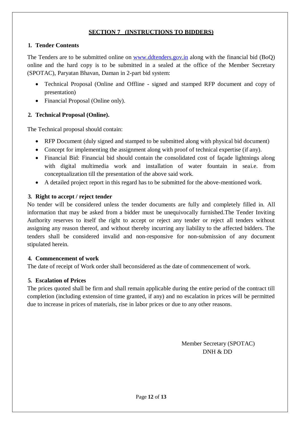#### **SECTION 7 (INSTRUCTIONS TO BIDDERS)**

#### **1. Tender Contents**

The Tenders are to be submitted online on [www.ddtenders.gov.in](http://www.ddtenders.gov.in/) along with the financial bid (BoQ) online and the hard copy is to be submitted in a sealed at the office of the Member Secretary (SPOTAC), Paryatan Bhavan, Daman in 2-part bid system:

- Technical Proposal (Online and Offline signed and stamped RFP document and copy of presentation)
- Financial Proposal (Online only).

#### **2. Technical Proposal (Online).**

The Technical proposal should contain:

- RFP Document (duly signed and stamped to be submitted along with physical bid document)
- Concept for implementing the assignment along with proof of technical expertise (if any).
- Financial Bid: Financial bid should contain the consolidated cost of façade lightnings along with digital multimedia work and installation of water fountain in seai.e. from conceptualization till the presentation of the above said work.
- A detailed project report in this regard has to be submitted for the above-mentioned work.

#### **3. Right to accept / reject tender**

No tender will be considered unless the tender documents are fully and completely filled in. All information that may be asked from a bidder must be unequivocally furnished.The Tender Inviting Authority reserves to itself the right to accept or reject any tender or reject all tenders without assigning any reason thereof, and without thereby incurring any liability to the affected bidders. The tenders shall be considered invalid and non-responsive for non-submission of any document stipulated herein.

#### **4. Commencement of work**

The date of receipt of Work order shall beconsidered as the date of commencement of work.

#### **5. Escalation of Prices**

The prices quoted shall be firm and shall remain applicable during the entire period of the contract till completion (including extension of time granted, if any) and no escalation in prices will be permitted due to increase in prices of materials, rise in labor prices or due to any other reasons.

> Member Secretary (SPOTAC) DNH & DD